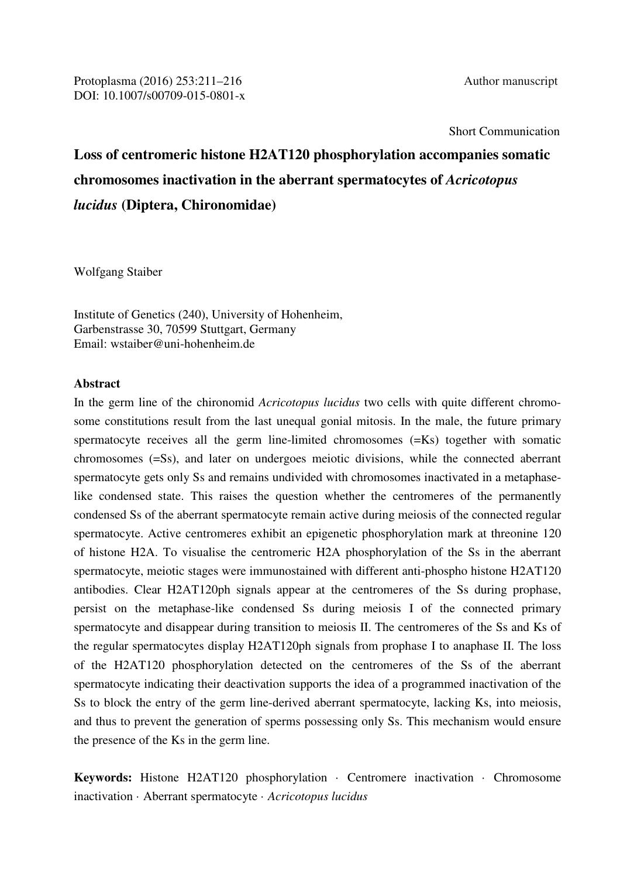Short Communication

# **Loss of centromeric histone H2AT120 phosphorylation accompanies somatic chromosomes inactivation in the aberrant spermatocytes of** *Acricotopus lucidus* **(Diptera, Chironomidae)**

Wolfgang Staiber

Institute of Genetics (240), University of Hohenheim, Garbenstrasse 30, 70599 Stuttgart, Germany Email: wstaiber@uni-hohenheim.de

## **Abstract**

In the germ line of the chironomid *Acricotopus lucidus* two cells with quite different chromosome constitutions result from the last unequal gonial mitosis. In the male, the future primary spermatocyte receives all the germ line-limited chromosomes (=Ks) together with somatic chromosomes (=Ss), and later on undergoes meiotic divisions, while the connected aberrant spermatocyte gets only Ss and remains undivided with chromosomes inactivated in a metaphaselike condensed state. This raises the question whether the centromeres of the permanently condensed Ss of the aberrant spermatocyte remain active during meiosis of the connected regular spermatocyte. Active centromeres exhibit an epigenetic phosphorylation mark at threonine 120 of histone H2A. To visualise the centromeric H2A phosphorylation of the Ss in the aberrant spermatocyte, meiotic stages were immunostained with different anti-phospho histone H2AT120 antibodies. Clear H2AT120ph signals appear at the centromeres of the Ss during prophase, persist on the metaphase-like condensed Ss during meiosis I of the connected primary spermatocyte and disappear during transition to meiosis II. The centromeres of the Ss and Ks of the regular spermatocytes display H2AT120ph signals from prophase I to anaphase II. The loss of the H2AT120 phosphorylation detected on the centromeres of the Ss of the aberrant spermatocyte indicating their deactivation supports the idea of a programmed inactivation of the Ss to block the entry of the germ line-derived aberrant spermatocyte, lacking Ks, into meiosis, and thus to prevent the generation of sperms possessing only Ss. This mechanism would ensure the presence of the Ks in the germ line.

**Keywords:** Histone H2AT120 phosphorylation · Centromere inactivation · Chromosome inactivation · Aberrant spermatocyte · *Acricotopus lucidus*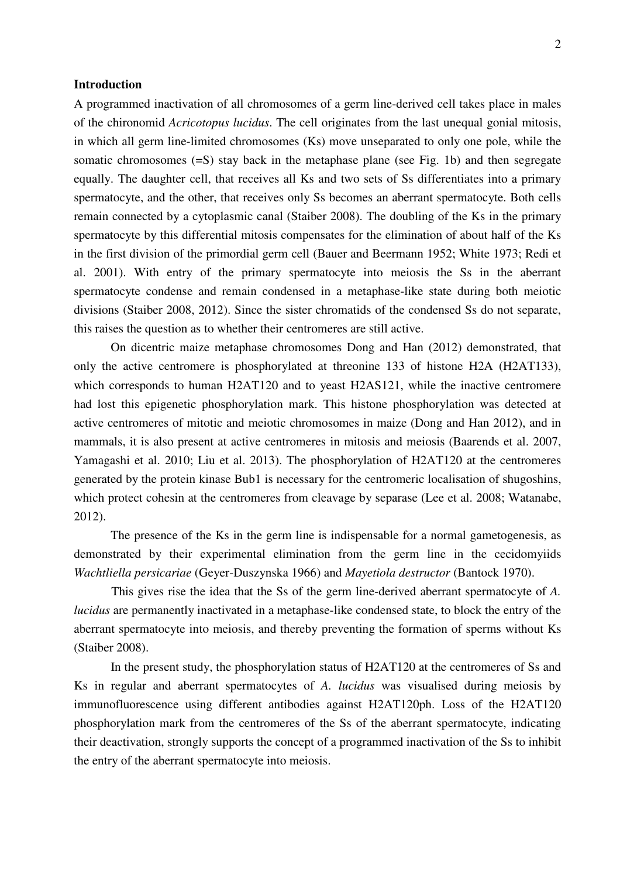#### **Introduction**

A programmed inactivation of all chromosomes of a germ line-derived cell takes place in males of the chironomid *Acricotopus lucidus*. The cell originates from the last unequal gonial mitosis, in which all germ line-limited chromosomes (Ks) move unseparated to only one pole, while the somatic chromosomes (=S) stay back in the metaphase plane (see Fig. 1b) and then segregate equally. The daughter cell, that receives all Ks and two sets of Ss differentiates into a primary spermatocyte, and the other, that receives only Ss becomes an aberrant spermatocyte. Both cells remain connected by a cytoplasmic canal (Staiber 2008). The doubling of the Ks in the primary spermatocyte by this differential mitosis compensates for the elimination of about half of the Ks in the first division of the primordial germ cell (Bauer and Beermann 1952; White 1973; Redi et al. 2001). With entry of the primary spermatocyte into meiosis the Ss in the aberrant spermatocyte condense and remain condensed in a metaphase-like state during both meiotic divisions (Staiber 2008, 2012). Since the sister chromatids of the condensed Ss do not separate, this raises the question as to whether their centromeres are still active.

 On dicentric maize metaphase chromosomes Dong and Han (2012) demonstrated, that only the active centromere is phosphorylated at threonine 133 of histone H2A (H2AT133), which corresponds to human H2AT120 and to yeast H2AS121, while the inactive centromere had lost this epigenetic phosphorylation mark. This histone phosphorylation was detected at active centromeres of mitotic and meiotic chromosomes in maize (Dong and Han 2012), and in mammals, it is also present at active centromeres in mitosis and meiosis (Baarends et al. 2007, Yamagashi et al. 2010; Liu et al. 2013). The phosphorylation of H2AT120 at the centromeres generated by the protein kinase Bub1 is necessary for the centromeric localisation of shugoshins, which protect cohesin at the centromeres from cleavage by separase (Lee et al. 2008; Watanabe, 2012).

 The presence of the Ks in the germ line is indispensable for a normal gametogenesis, as demonstrated by their experimental elimination from the germ line in the cecidomyiids *Wachtliella persicariae* (Geyer-Duszynska 1966) and *Mayetiola destructor* (Bantock 1970).

 This gives rise the idea that the Ss of the germ line-derived aberrant spermatocyte of *A. lucidus* are permanently inactivated in a metaphase-like condensed state, to block the entry of the aberrant spermatocyte into meiosis, and thereby preventing the formation of sperms without Ks (Staiber 2008).

 In the present study, the phosphorylation status of H2AT120 at the centromeres of Ss and Ks in regular and aberrant spermatocytes of *A. lucidus* was visualised during meiosis by immunofluorescence using different antibodies against H2AT120ph. Loss of the H2AT120 phosphorylation mark from the centromeres of the Ss of the aberrant spermatocyte, indicating their deactivation, strongly supports the concept of a programmed inactivation of the Ss to inhibit the entry of the aberrant spermatocyte into meiosis.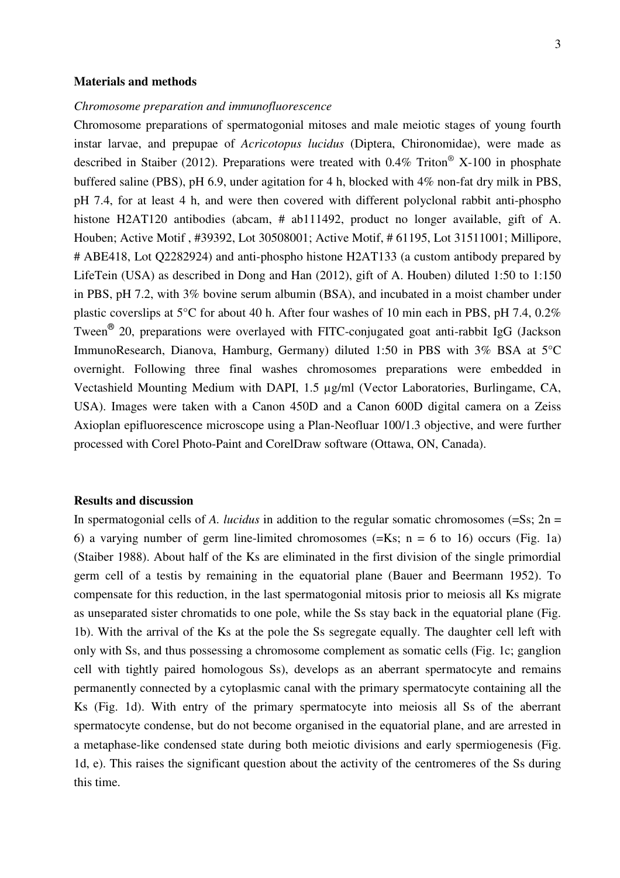#### **Materials and methods**

### *Chromosome preparation and immunofluorescence*

Chromosome preparations of spermatogonial mitoses and male meiotic stages of young fourth instar larvae, and prepupae of *Acricotopus lucidus* (Diptera, Chironomidae), were made as described in Staiber (2012). Preparations were treated with  $0.4\%$  Triton<sup>®</sup> X-100 in phosphate buffered saline (PBS), pH 6.9, under agitation for 4 h, blocked with 4% non-fat dry milk in PBS, pH 7.4, for at least 4 h, and were then covered with different polyclonal rabbit anti-phospho histone H2AT120 antibodies (abcam, # ab111492, product no longer available, gift of A. Houben; Active Motif , #39392, Lot 30508001; Active Motif, # 61195, Lot 31511001; Millipore, # ABE418, Lot Q2282924) and anti-phospho histone H2AT133 (a custom antibody prepared by LifeTein (USA) as described in Dong and Han (2012), gift of A. Houben) diluted 1:50 to 1:150 in PBS, pH 7.2, with 3% bovine serum albumin (BSA), and incubated in a moist chamber under plastic coverslips at 5°C for about 40 h. After four washes of 10 min each in PBS, pH 7.4, 0.2% Tween<sup>®</sup> 20, preparations were overlayed with FITC-conjugated goat anti-rabbit IgG (Jackson ImmunoResearch, Dianova, Hamburg, Germany) diluted 1:50 in PBS with 3% BSA at 5°C overnight. Following three final washes chromosomes preparations were embedded in Vectashield Mounting Medium with DAPI, 1.5 µg/ml (Vector Laboratories, Burlingame, CA, USA). Images were taken with a Canon 450D and a Canon 600D digital camera on a Zeiss Axioplan epifluorescence microscope using a Plan-Neofluar 100/1.3 objective, and were further processed with Corel Photo-Paint and CorelDraw software (Ottawa, ON, Canada).

#### **Results and discussion**

In spermatogonial cells of *A. lucidus* in addition to the regular somatic chromosomes  $(=S_s; 2n =$ 6) a varying number of germ line-limited chromosomes  $(=Ks; n = 6$  to 16) occurs (Fig. 1a) (Staiber 1988). About half of the Ks are eliminated in the first division of the single primordial germ cell of a testis by remaining in the equatorial plane (Bauer and Beermann 1952). To compensate for this reduction, in the last spermatogonial mitosis prior to meiosis all Ks migrate as unseparated sister chromatids to one pole, while the Ss stay back in the equatorial plane (Fig. 1b). With the arrival of the Ks at the pole the Ss segregate equally. The daughter cell left with only with Ss, and thus possessing a chromosome complement as somatic cells (Fig. 1c; ganglion cell with tightly paired homologous Ss), develops as an aberrant spermatocyte and remains permanently connected by a cytoplasmic canal with the primary spermatocyte containing all the Ks (Fig. 1d). With entry of the primary spermatocyte into meiosis all Ss of the aberrant spermatocyte condense, but do not become organised in the equatorial plane, and are arrested in a metaphase-like condensed state during both meiotic divisions and early spermiogenesis (Fig. 1d, e). This raises the significant question about the activity of the centromeres of the Ss during this time.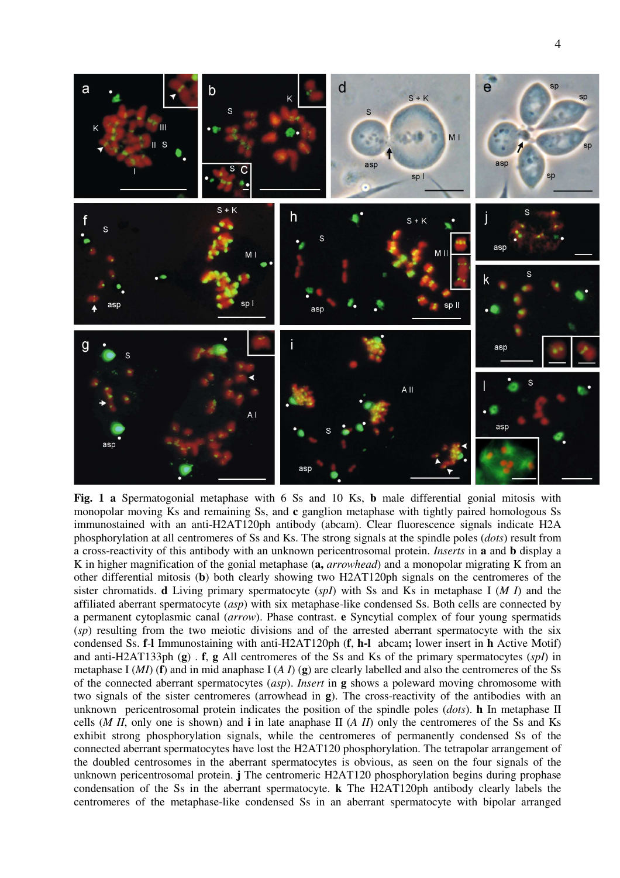

**Fig. 1 a** Spermatogonial metaphase with 6 Ss and 10 Ks, **b** male differential gonial mitosis with monopolar moving Ks and remaining Ss, and **c** ganglion metaphase with tightly paired homologous Ss immunostained with an anti-H2AT120ph antibody (abcam). Clear fluorescence signals indicate H2A phosphorylation at all centromeres of Ss and Ks. The strong signals at the spindle poles (*dots*) result from a cross-reactivity of this antibody with an unknown pericentrosomal protein. *Inserts* in **a** and **b** display a K in higher magnification of the gonial metaphase (**a,** *arrowhead*) and a monopolar migrating K from an other differential mitosis (**b**) both clearly showing two H2AT120ph signals on the centromeres of the sister chromatids. **d** Living primary spermatocyte (*spI*) with Ss and Ks in metaphase I (*M I*) and the affiliated aberrant spermatocyte (*asp*) with six metaphase-like condensed Ss. Both cells are connected by a permanent cytoplasmic canal (*arrow*). Phase contrast. **e** Syncytial complex of four young spermatids (*sp*) resulting from the two meiotic divisions and of the arrested aberrant spermatocyte with the six condensed Ss. **f**-**l** Immunostaining with anti-H2AT120ph (**f**, **h-l** abcam**;** lower insert in **h** Active Motif) and anti-H2AT133ph (**g**) . **f**, **g** All centromeres of the Ss and Ks of the primary spermatocytes (*spI*) in metaphase I (*MI*) (**f**) and in mid anaphase I (*A I*) (**g**) are clearly labelled and also the centromeres of the Ss of the connected aberrant spermatocytes (*asp*). *Insert* in **g** shows a poleward moving chromosome with two signals of the sister centromeres (arrowhead in **g**). The cross-reactivity of the antibodies with an unknown pericentrosomal protein indicates the position of the spindle poles (*dots*). **h** In metaphase II cells (*M II*, only one is shown) and **i** in late anaphase II (*A II*) only the centromeres of the Ss and Ks exhibit strong phosphorylation signals, while the centromeres of permanently condensed Ss of the connected aberrant spermatocytes have lost the H2AT120 phosphorylation. The tetrapolar arrangement of the doubled centrosomes in the aberrant spermatocytes is obvious, as seen on the four signals of the unknown pericentrosomal protein. **j** The centromeric H2AT120 phosphorylation begins during prophase condensation of the Ss in the aberrant spermatocyte. **k** The H2AT120ph antibody clearly labels the centromeres of the metaphase-like condensed Ss in an aberrant spermatocyte with bipolar arranged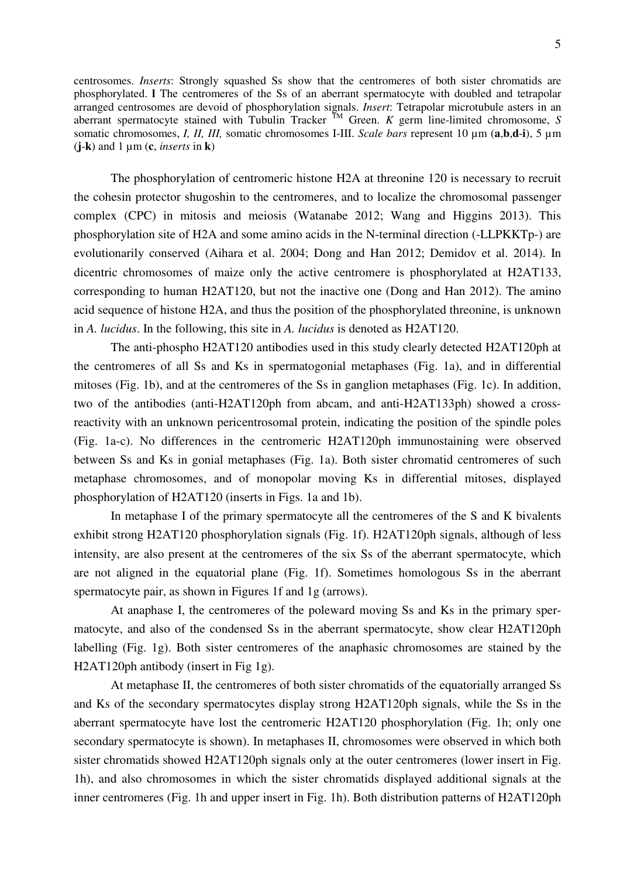centrosomes. *Inserts*: Strongly squashed Ss show that the centromeres of both sister chromatids are phosphorylated. **l** The centromeres of the Ss of an aberrant spermatocyte with doubled and tetrapolar arranged centrosomes are devoid of phosphorylation signals. *Insert*: Tetrapolar microtubule asters in an aberrant spermatocyte stained with Tubulin Tracker TM Green. *K* germ line-limited chromosome, *S* somatic chromosomes, *I, II, III,* somatic chromosomes I-III. *Scale bars* represent 10 µm (**a**,**b**,**d**-**i**), 5 µm  $(i-k)$  and  $1 \mu m$  (**c**, *inserts* in **k**)

 The phosphorylation of centromeric histone H2A at threonine 120 is necessary to recruit the cohesin protector shugoshin to the centromeres, and to localize the chromosomal passenger complex (CPC) in mitosis and meiosis (Watanabe 2012; Wang and Higgins 2013). This phosphorylation site of H2A and some amino acids in the N-terminal direction (-LLPKKTp-) are evolutionarily conserved (Aihara et al. 2004; Dong and Han 2012; Demidov et al. 2014). In dicentric chromosomes of maize only the active centromere is phosphorylated at H2AT133, corresponding to human H2AT120, but not the inactive one (Dong and Han 2012). The amino acid sequence of histone H2A, and thus the position of the phosphorylated threonine, is unknown in *A. lucidus*. In the following, this site in *A. lucidus* is denoted as H2AT120.

 The anti-phospho H2AT120 antibodies used in this study clearly detected H2AT120ph at the centromeres of all Ss and Ks in spermatogonial metaphases (Fig. 1a), and in differential mitoses (Fig. 1b), and at the centromeres of the Ss in ganglion metaphases (Fig. 1c). In addition, two of the antibodies (anti-H2AT120ph from abcam, and anti-H2AT133ph) showed a crossreactivity with an unknown pericentrosomal protein, indicating the position of the spindle poles (Fig. 1a-c). No differences in the centromeric H2AT120ph immunostaining were observed between Ss and Ks in gonial metaphases (Fig. 1a). Both sister chromatid centromeres of such metaphase chromosomes, and of monopolar moving Ks in differential mitoses, displayed phosphorylation of H2AT120 (inserts in Figs. 1a and 1b).

 In metaphase I of the primary spermatocyte all the centromeres of the S and K bivalents exhibit strong H2AT120 phosphorylation signals (Fig. 1f). H2AT120ph signals, although of less intensity, are also present at the centromeres of the six Ss of the aberrant spermatocyte, which are not aligned in the equatorial plane (Fig. 1f). Sometimes homologous Ss in the aberrant spermatocyte pair, as shown in Figures 1f and 1g (arrows).

 At anaphase I, the centromeres of the poleward moving Ss and Ks in the primary spermatocyte, and also of the condensed Ss in the aberrant spermatocyte, show clear H2AT120ph labelling (Fig. 1g). Both sister centromeres of the anaphasic chromosomes are stained by the H2AT120ph antibody (insert in Fig 1g).

 At metaphase II, the centromeres of both sister chromatids of the equatorially arranged Ss and Ks of the secondary spermatocytes display strong H2AT120ph signals, while the Ss in the aberrant spermatocyte have lost the centromeric H2AT120 phosphorylation (Fig. 1h; only one secondary spermatocyte is shown). In metaphases II, chromosomes were observed in which both sister chromatids showed H2AT120ph signals only at the outer centromeres (lower insert in Fig. 1h), and also chromosomes in which the sister chromatids displayed additional signals at the inner centromeres (Fig. 1h and upper insert in Fig. 1h). Both distribution patterns of H2AT120ph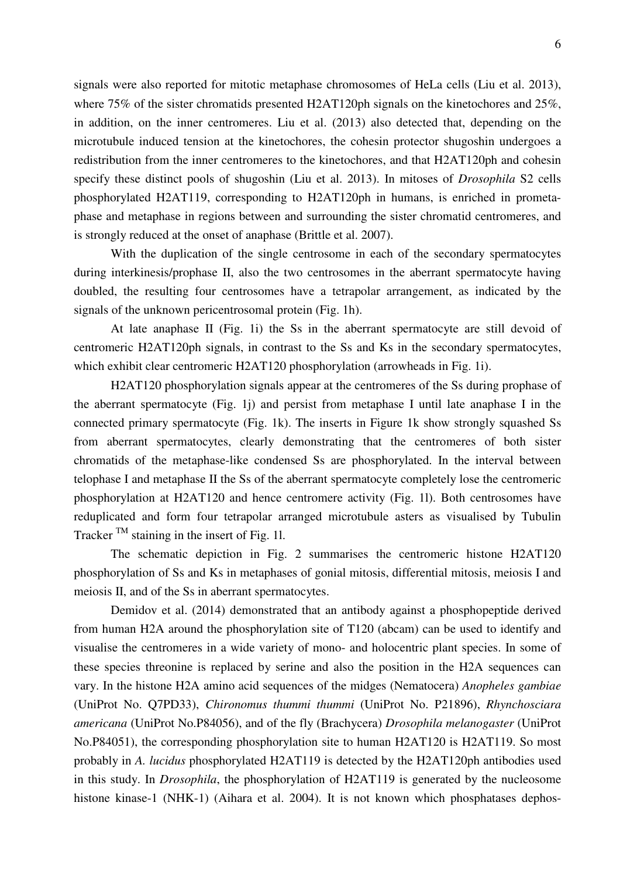signals were also reported for mitotic metaphase chromosomes of HeLa cells (Liu et al. 2013), where 75% of the sister chromatids presented H2AT120ph signals on the kinetochores and 25%, in addition, on the inner centromeres. Liu et al. (2013) also detected that, depending on the microtubule induced tension at the kinetochores, the cohesin protector shugoshin undergoes a redistribution from the inner centromeres to the kinetochores, and that H2AT120ph and cohesin specify these distinct pools of shugoshin (Liu et al. 2013). In mitoses of *Drosophila* S2 cells phosphorylated H2AT119, corresponding to H2AT120ph in humans, is enriched in prometaphase and metaphase in regions between and surrounding the sister chromatid centromeres, and is strongly reduced at the onset of anaphase (Brittle et al. 2007).

 With the duplication of the single centrosome in each of the secondary spermatocytes during interkinesis/prophase II, also the two centrosomes in the aberrant spermatocyte having doubled, the resulting four centrosomes have a tetrapolar arrangement, as indicated by the signals of the unknown pericentrosomal protein (Fig. 1h).

 At late anaphase II (Fig. 1i) the Ss in the aberrant spermatocyte are still devoid of centromeric H2AT120ph signals, in contrast to the Ss and Ks in the secondary spermatocytes, which exhibit clear centromeric H2AT120 phosphorylation (arrowheads in Fig. 1i).

 H2AT120 phosphorylation signals appear at the centromeres of the Ss during prophase of the aberrant spermatocyte (Fig. 1j) and persist from metaphase I until late anaphase I in the connected primary spermatocyte (Fig. 1k). The inserts in Figure 1k show strongly squashed Ss from aberrant spermatocytes, clearly demonstrating that the centromeres of both sister chromatids of the metaphase-like condensed Ss are phosphorylated. In the interval between telophase I and metaphase II the Ss of the aberrant spermatocyte completely lose the centromeric phosphorylation at H2AT120 and hence centromere activity (Fig. 1l). Both centrosomes have reduplicated and form four tetrapolar arranged microtubule asters as visualised by Tubulin Tracker  $<sup>TM</sup>$  staining in the insert of Fig. 11.</sup>

 The schematic depiction in Fig. 2 summarises the centromeric histone H2AT120 phosphorylation of Ss and Ks in metaphases of gonial mitosis, differential mitosis, meiosis I and meiosis II, and of the Ss in aberrant spermatocytes.

 Demidov et al. (2014) demonstrated that an antibody against a phosphopeptide derived from human H2A around the phosphorylation site of T120 (abcam) can be used to identify and visualise the centromeres in a wide variety of mono- and holocentric plant species. In some of these species threonine is replaced by serine and also the position in the H2A sequences can vary. In the histone H2A amino acid sequences of the midges (Nematocera) *Anopheles gambiae* (UniProt No. Q7PD33), *Chironomus thummi thummi* (UniProt No. P21896), *Rhynchosciara americana* (UniProt No.P84056), and of the fly (Brachycera) *Drosophila melanogaster* (UniProt No.P84051), the corresponding phosphorylation site to human H2AT120 is H2AT119. So most probably in *A. lucidus* phosphorylated H2AT119 is detected by the H2AT120ph antibodies used in this study. In *Drosophila*, the phosphorylation of H2AT119 is generated by the nucleosome histone kinase-1 (NHK-1) (Aihara et al. 2004). It is not known which phosphatases dephos-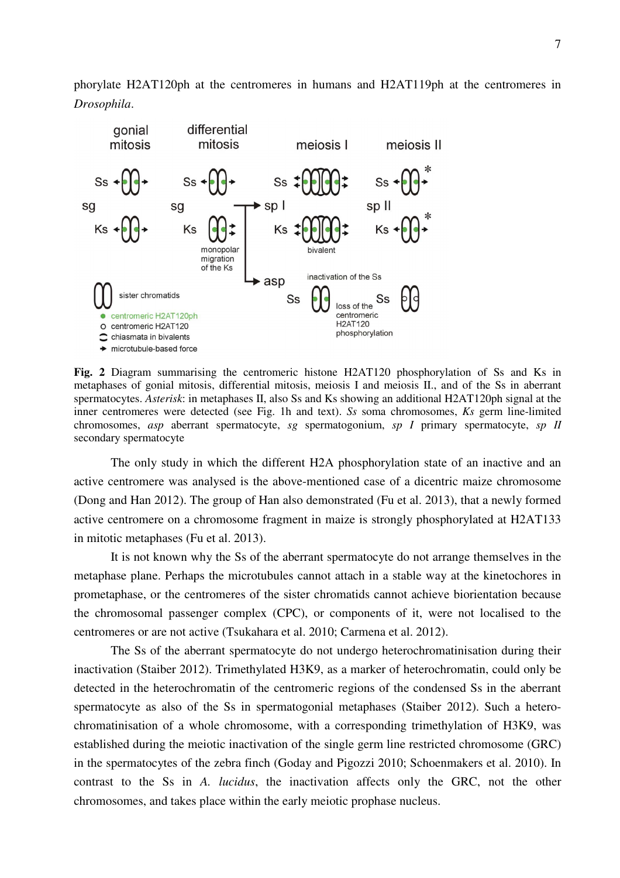phorylate H2AT120ph at the centromeres in humans and H2AT119ph at the centromeres in *Drosophila*.



**Fig. 2** Diagram summarising the centromeric histone H2AT120 phosphorylation of Ss and Ks in metaphases of gonial mitosis, differential mitosis, meiosis I and meiosis II., and of the Ss in aberrant spermatocytes. *Asterisk*: in metaphases II, also Ss and Ks showing an additional H2AT120ph signal at the inner centromeres were detected (see Fig. 1h and text). *Ss* soma chromosomes, *Ks* germ line-limited chromosomes, *asp* aberrant spermatocyte, *sg* spermatogonium, *sp I* primary spermatocyte, *sp II* secondary spermatocyte

The only study in which the different H2A phosphorylation state of an inactive and an active centromere was analysed is the above-mentioned case of a dicentric maize chromosome (Dong and Han 2012). The group of Han also demonstrated (Fu et al. 2013), that a newly formed active centromere on a chromosome fragment in maize is strongly phosphorylated at H2AT133 in mitotic metaphases (Fu et al. 2013).

It is not known why the Ss of the aberrant spermatocyte do not arrange themselves in the metaphase plane. Perhaps the microtubules cannot attach in a stable way at the kinetochores in prometaphase, or the centromeres of the sister chromatids cannot achieve biorientation because the chromosomal passenger complex (CPC), or components of it, were not localised to the centromeres or are not active (Tsukahara et al. 2010; Carmena et al. 2012).

 The Ss of the aberrant spermatocyte do not undergo heterochromatinisation during their inactivation (Staiber 2012). Trimethylated H3K9, as a marker of heterochromatin, could only be detected in the heterochromatin of the centromeric regions of the condensed Ss in the aberrant spermatocyte as also of the Ss in spermatogonial metaphases (Staiber 2012). Such a heterochromatinisation of a whole chromosome, with a corresponding trimethylation of H3K9, was established during the meiotic inactivation of the single germ line restricted chromosome (GRC) in the spermatocytes of the zebra finch (Goday and Pigozzi 2010; Schoenmakers et al. 2010). In contrast to the Ss in *A. lucidus*, the inactivation affects only the GRC, not the other chromosomes, and takes place within the early meiotic prophase nucleus.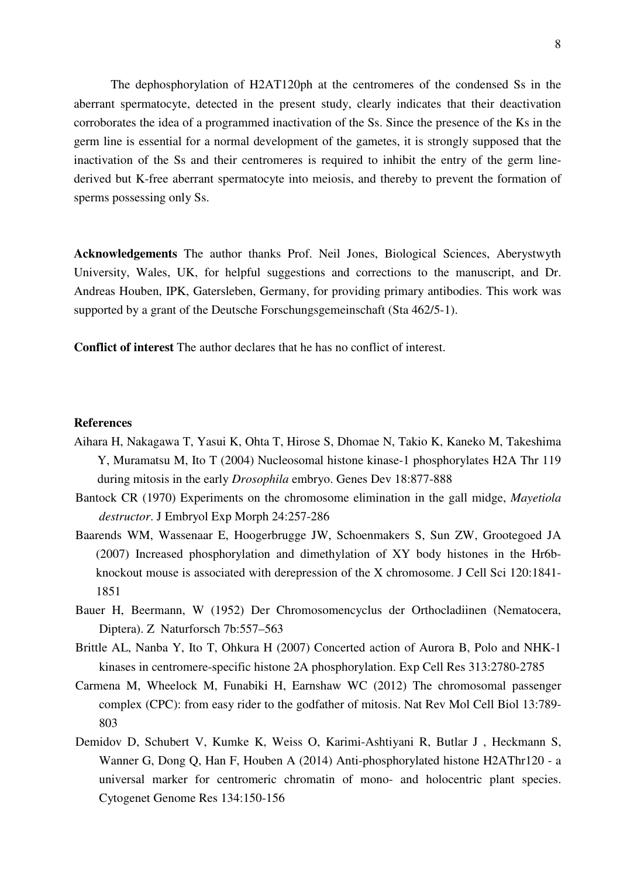The dephosphorylation of H2AT120ph at the centromeres of the condensed Ss in the aberrant spermatocyte, detected in the present study, clearly indicates that their deactivation corroborates the idea of a programmed inactivation of the Ss. Since the presence of the Ks in the germ line is essential for a normal development of the gametes, it is strongly supposed that the inactivation of the Ss and their centromeres is required to inhibit the entry of the germ linederived but K-free aberrant spermatocyte into meiosis, and thereby to prevent the formation of sperms possessing only Ss.

**Acknowledgements** The author thanks Prof. Neil Jones, Biological Sciences, Aberystwyth University, Wales, UK, for helpful suggestions and corrections to the manuscript, and Dr. Andreas Houben, IPK, Gatersleben, Germany, for providing primary antibodies. This work was supported by a grant of the Deutsche Forschungsgemeinschaft (Sta 462/5-1).

**Conflict of interest** The author declares that he has no conflict of interest.

#### **References**

- Aihara H, Nakagawa T, Yasui K, Ohta T, Hirose S, Dhomae N, Takio K, Kaneko M, Takeshima Y, Muramatsu M, Ito T (2004) Nucleosomal histone kinase-1 phosphorylates H2A Thr 119 during mitosis in the early *Drosophila* embryo. Genes Dev 18:877-888
- Bantock CR (1970) Experiments on the chromosome elimination in the gall midge, *Mayetiola destructor*. J Embryol Exp Morph 24:257-286
- Baarends WM, Wassenaar E, Hoogerbrugge JW, Schoenmakers S, Sun ZW, Grootegoed JA (2007) Increased phosphorylation and dimethylation of XY body histones in the Hr6bknockout mouse is associated with derepression of the X chromosome. J Cell Sci 120:1841- 1851
- Bauer H, Beermann, W (1952) Der Chromosomencyclus der Orthocladiinen (Nematocera, Diptera). Z Naturforsch 7b:557–563
- Brittle AL, Nanba Y, Ito T, Ohkura H (2007) Concerted action of Aurora B, Polo and NHK-1 kinases in centromere-specific histone 2A phosphorylation. Exp Cell Res 313:2780-2785
- Carmena M, Wheelock M, Funabiki H, Earnshaw WC (2012) The chromosomal passenger complex (CPC): from easy rider to the godfather of mitosis. Nat Rev Mol Cell Biol 13:789- 803
- Demidov D, Schubert V, Kumke K, Weiss O, Karimi-Ashtiyani R, Butlar J , Heckmann S, Wanner G, Dong Q, Han F, Houben A (2014) Anti-phosphorylated histone H2AThr120 - a universal marker for centromeric chromatin of mono- and holocentric plant species. Cytogenet Genome Res 134:150-156